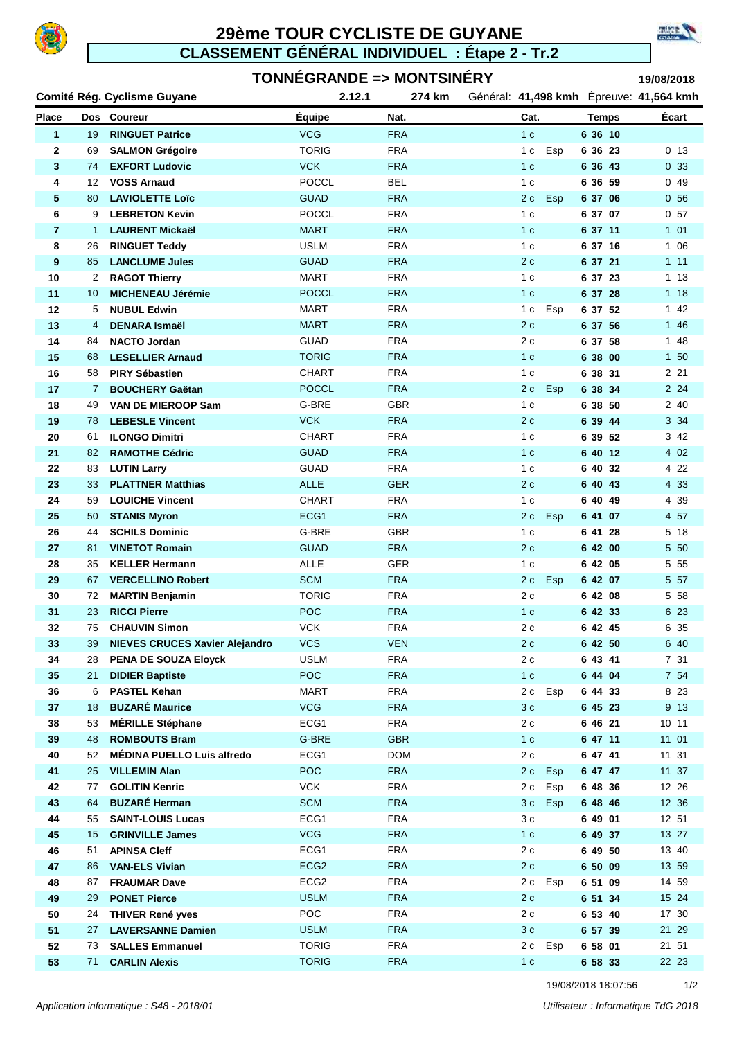

## **29ème TOUR CYCLISTE DE GUYANE CLASSEMENT GÉNÉRAL INDIVIDUEL : Étape 2 - Tr.2**





resional

|              |          | Comité Rég. Cyclisme Guyane                    | 2.12.1             | 274 km                   | Général: 41,498 kmh Epreuve: 41,564 kmh |                    |                 |
|--------------|----------|------------------------------------------------|--------------------|--------------------------|-----------------------------------------|--------------------|-----------------|
| <b>Place</b> |          | Dos Coureur                                    | Equipe             | Nat.                     | Cat.                                    | <b>Temps</b>       | Écart           |
| $\mathbf{1}$ | 19       | <b>RINGUET Patrice</b>                         | <b>VCG</b>         | <b>FRA</b>               | 1 <sub>c</sub>                          | 6 36 10            |                 |
| 2            | 69       | <b>SALMON Grégoire</b>                         | <b>TORIG</b>       | <b>FRA</b>               | 1 <sub>c</sub><br>Esp                   | 6 36 23            | 0 <sub>13</sub> |
| 3            | 74       | <b>EXFORT Ludovic</b>                          | <b>VCK</b>         | <b>FRA</b>               | 1 <sub>c</sub>                          | 6 36 43            | 0 <sub>33</sub> |
| 4            | 12       | <b>VOSS Arnaud</b>                             | <b>POCCL</b>       | <b>BEL</b>               | 1 <sub>c</sub>                          | 6 36 59            | 049             |
| 5            | 80       | <b>LAVIOLETTE Loïc</b>                         | <b>GUAD</b>        | <b>FRA</b>               | 2 c<br><b>Esp</b>                       | 6 37 06            | 0 <sub>56</sub> |
| 6            | 9        | <b>LEBRETON Kevin</b>                          | <b>POCCL</b>       | <b>FRA</b>               | 1 <sub>c</sub>                          | 6 37 07            | 0 <sub>57</sub> |
| 7            | 1        | <b>LAURENT Mickaël</b>                         | <b>MART</b>        | <b>FRA</b>               | 1 <sub>c</sub>                          | 6 37 11            | $101$           |
| 8            | 26       | <b>RINGUET Teddy</b>                           | <b>USLM</b>        | <b>FRA</b>               | 1 <sub>c</sub>                          | 6 37 16            | 1 0 6           |
| 9            | 85       | <b>LANCLUME Jules</b>                          | <b>GUAD</b>        | <b>FRA</b>               | 2 c                                     | 6 37 21            | 111             |
| 10           | 2        | <b>RAGOT Thierry</b>                           | <b>MART</b>        | <b>FRA</b>               | 1 <sub>c</sub>                          | 6 37 23            | 1 13            |
| 11           | 10       | <b>MICHENEAU Jérémie</b>                       | <b>POCCL</b>       | <b>FRA</b>               | 1 <sub>c</sub>                          | 6 37 28            | 118             |
| 12           | 5        | <b>NUBUL Edwin</b>                             | MART               | <b>FRA</b>               | 1 <sub>c</sub><br>Esp                   | 6 37 52            | $142$           |
| 13           | 4        | <b>DENARA Ismaël</b>                           | <b>MART</b>        | <b>FRA</b>               | 2 c                                     | 6 37 56            | $146$           |
| 14           | 84       | <b>NACTO Jordan</b>                            | <b>GUAD</b>        | <b>FRA</b>               | 2 c                                     | 6 37 58            | 1 48            |
| 15           | 68       | <b>LESELLIER Arnaud</b>                        | <b>TORIG</b>       | <b>FRA</b>               | 1 <sub>c</sub>                          | 6 38 00            | $1\,50$         |
| 16           | 58       | <b>PIRY Sébastien</b>                          | <b>CHART</b>       | <b>FRA</b>               | 1 <sub>c</sub>                          | 6 38 31            | 2 2 1           |
| 17           | 7        | <b>BOUCHERY Gaëtan</b>                         | <b>POCCL</b>       | <b>FRA</b>               | 2 <sub>c</sub><br>Esp                   | 6 38 34            | 2 2 4           |
| 18           | 49       | <b>VAN DE MIEROOP Sam</b>                      | G-BRE              | GBR                      | 1 <sub>c</sub>                          | 6 38 50            | 2 40            |
| 19           | 78       | <b>LEBESLE Vincent</b>                         | <b>VCK</b>         | <b>FRA</b>               | 2c                                      | 6 39 44            | 3 3 4           |
| 20           | 61       | <b>ILONGO Dimitri</b>                          | <b>CHART</b>       | <b>FRA</b>               | 1 <sub>c</sub>                          | 6 39 52            | 3 42            |
| 21           | 82       | <b>RAMOTHE Cédric</b>                          | <b>GUAD</b>        | <b>FRA</b>               | 1 <sub>c</sub>                          | 6 40 12            | 4 0 2           |
| 22           | 83       | <b>LUTIN Larry</b>                             | GUAD               | <b>FRA</b>               | 1 <sub>c</sub>                          | 6 40 32            | 4 2 2           |
| 23           | 33       | <b>PLATTNER Matthias</b>                       | <b>ALLE</b>        | <b>GER</b>               | 2c                                      | 6 40 43            | 4 3 3           |
| 24           | 59       | <b>LOUICHE Vincent</b>                         | <b>CHART</b>       | <b>FRA</b>               | 1 <sub>c</sub>                          | 6 40 49            | 4 39            |
| 25           | 50       | <b>STANIS Myron</b>                            | ECG1               | <b>FRA</b>               | 2 c<br><b>Esp</b>                       | 6 41 07            | 4 57            |
| 26           | 44       | <b>SCHILS Dominic</b>                          | G-BRE              | GBR                      | 1 <sub>c</sub>                          | 64128              | 5 18            |
| 27           | 81       | <b>VINETOT Romain</b>                          | <b>GUAD</b>        | <b>FRA</b>               | 2c                                      | 6 42 00            | 5 50            |
| 28           | 35       | <b>KELLER Hermann</b>                          | ALLE               | GER                      | 1 <sub>c</sub>                          | 64205              | 5 5 5           |
| 29           | 67       | <b>VERCELLINO Robert</b>                       | <b>SCM</b>         | <b>FRA</b>               | 2c<br>Esp                               | 6 42 07            | 5 57            |
| 30           | 72       | <b>MARTIN Benjamin</b>                         | <b>TORIG</b>       | <b>FRA</b>               | 2 c                                     | 6 42 08            | 5 58            |
| 31           | 23       | <b>RICCI Pierre</b>                            | POC                | <b>FRA</b>               | 1 <sub>c</sub>                          | 6 42 33            | 6 23            |
| 32           | 75       | <b>CHAUVIN Simon</b>                           | <b>VCK</b>         | <b>FRA</b>               | 2c                                      | 64245              | 6 35            |
| 33           | 39       | <b>NIEVES CRUCES Xavier Alejandro</b>          | <b>VCS</b>         | <b>VEN</b>               | 2c                                      | 64250              | 6 40            |
| 34           | 28       | PENA DE SOUZA Eloyck                           | <b>USLM</b>        | <b>FRA</b>               | 2c                                      | 6 43 41            | 7 31            |
| 35           | 21       | <b>DIDIER Baptiste</b>                         | POC                | <b>FRA</b>               | 1 <sub>c</sub>                          | 6 44 04            | 7 54            |
| 36           | 6        | <b>PASTEL Kehan</b>                            | <b>MART</b>        | <b>FRA</b>               | 2c<br>Esp                               | 6 44 33            | 8 2 3           |
| 37           | 18       | <b>BUZARÉ Maurice</b>                          | <b>VCG</b>         | <b>FRA</b>               | 3 c                                     | 6 45 23            | 9 13            |
| 38           | 53       | <b>MÉRILLE Stéphane</b>                        | ECG1               | <b>FRA</b>               | 2c                                      | 6 46 21            | 10 11           |
| 39           | 48       | <b>ROMBOUTS Bram</b>                           | G-BRE              | <b>GBR</b>               | 1 <sub>c</sub>                          | 6 47 11            | 11 01           |
| 40           | 52       | <b>MÉDINA PUELLO Luis alfredo</b>              | ECG1               | <b>DOM</b>               | 2c                                      | 6 47 41            | 11 31           |
| 41           | 25       | <b>VILLEMIN Alan</b>                           | POC                | <b>FRA</b>               | 2c<br>Esp                               | 6 47 47            | 11 37           |
| 42           | 77       | <b>GOLITIN Kenric</b><br><b>BUZARÉ Herman</b>  | <b>VCK</b>         | <b>FRA</b>               | 2c<br>Esp                               | 6 48 36            | 12 26           |
| 43           | 64       |                                                | <b>SCM</b>         | <b>FRA</b>               | 3c<br>Esp                               | 6 48 46            | 12 36           |
| 44           | 55       | <b>SAINT-LOUIS Lucas</b>                       | ECG1               | <b>FRA</b>               | 3c                                      | 6 49 01            | 12 51           |
| 45           | 15       | <b>GRINVILLE James</b>                         | <b>VCG</b><br>ECG1 | <b>FRA</b><br><b>FRA</b> | 1 <sub>c</sub><br>2c                    | 6 49 37            | 13 27<br>13 40  |
| 46           | 51       | <b>APINSA Cleff</b>                            | ECG <sub>2</sub>   |                          |                                         | 6 49 50            |                 |
| 47<br>48     | 86       | <b>VAN-ELS Vivian</b><br><b>FRAUMAR Dave</b>   | ECG <sub>2</sub>   | <b>FRA</b><br><b>FRA</b> | 2 c<br>2c<br>Esp                        | 6 50 09<br>6 51 09 | 13 59<br>14 59  |
|              | 87       |                                                | <b>USLM</b>        |                          | 2c                                      |                    | 15 24           |
| 49<br>50     | 29       | <b>PONET Pierce</b><br><b>THIVER René yves</b> | POC                | <b>FRA</b><br><b>FRA</b> | 2c                                      | 6 51 34<br>6 53 40 | 17 30           |
| 51           | 24<br>27 | <b>LAVERSANNE Damien</b>                       | <b>USLM</b>        | <b>FRA</b>               | 3c                                      |                    | 21 29           |
| 52           | 73       | <b>SALLES Emmanuel</b>                         | <b>TORIG</b>       | <b>FRA</b>               | 2c<br>Esp                               | 6 57 39<br>6 58 01 | 21 51           |
| 53           | 71       | <b>CARLIN Alexis</b>                           | <b>TORIG</b>       | <b>FRA</b>               | 1 <sub>c</sub>                          | 6 58 33            | 22 23           |
|              |          |                                                |                    |                          |                                         |                    |                 |

19/08/2018 18:07:56 1/2